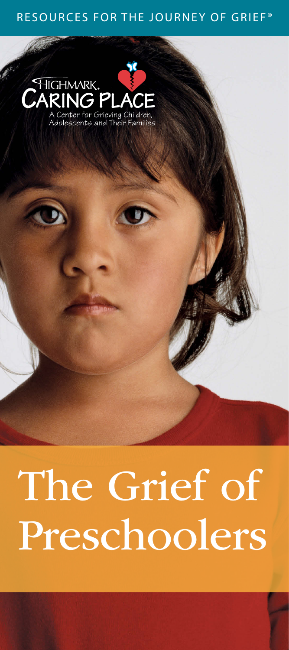#### RESOURCES FOR THE JOURNEY OF GRIEF®



# The Grief of Preschoolers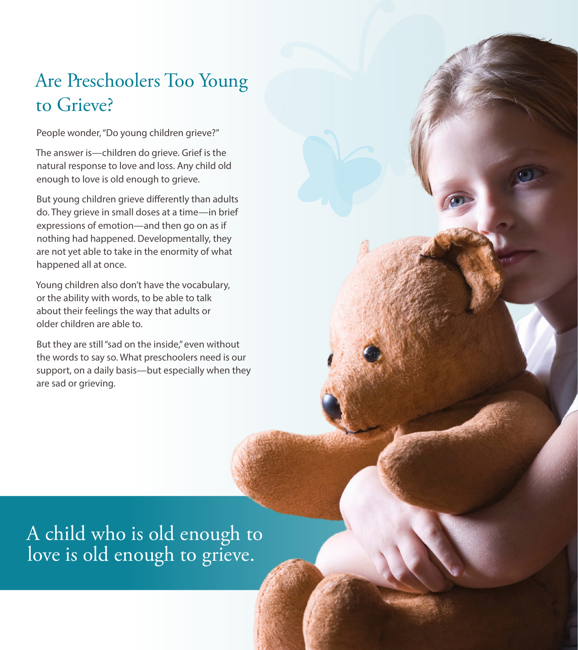# Are Preschoolers Too Young to Grieve?

People wonder, "Do young children grieve?"

The answer is—children do grieve. Grief is the natural response to love and loss. Any child old enough to love is old enough to grieve.

But young children grieve differently than adults do. They grieve in small doses at a time—in brief expressions of emotion—and then go on as if nothing had happened. Developmentally, they are not yet able to take in the enormity of what happened all at once.

Young children also don't have the vocabulary, or the ability with words, to be able to talk about their feelings the way that adults or older children are able to.

But they are still "sad on the inside," even without the words to say so. What preschoolers need is our support, on a daily basis—but especially when they are sad or grieving.

A child who is old enough to love is old enough to grieve.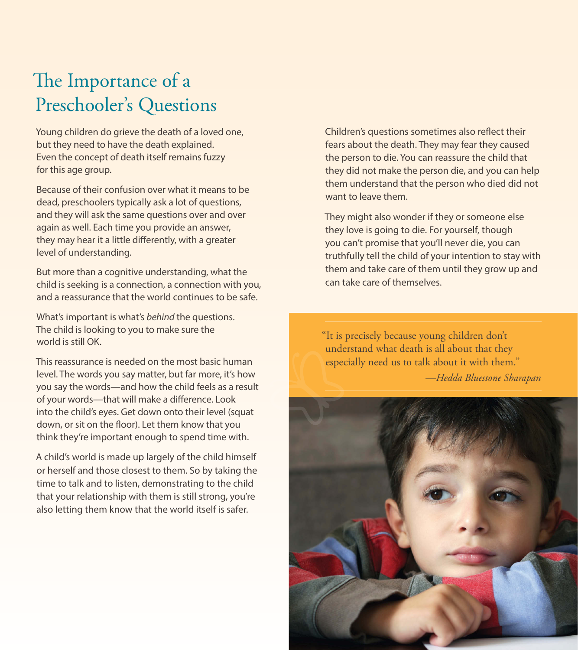# The Importance of a Preschooler's Questions

Young children do grieve the death of a loved one, but they need to have the death explained. Even the concept of death itself remains fuzzy for this age group.

Because of their confusion over what it means to be dead, preschoolers typically ask a lot of questions, and they will ask the same questions over and over again as well. Each time you provide an answer, they may hear it a little differently, with a greater level of understanding.

But more than a cognitive understanding, what the child is seeking is a connection, a connection with you, and a reassurance that the world continues to be safe.

What's important is what's *behind* the questions. The child is looking to you to make sure the world is still OK.

This reassurance is needed on the most basic human level. The words you say matter, but far more, it's how you say the words—and how the child feels as a result of your words—that will make a difference. Look into the child's eyes. Get down onto their level (squat down, or sit on the floor). Let them know that you think they're important enough to spend time with.

A child's world is made up largely of the child himself or herself and those closest to them. So by taking the time to talk and to listen, demonstrating to the child that your relationship with them is still strong, you're also letting them know that the world itself is safer.

Children's questions sometimes also reflect their fears about the death. They may fear they caused the person to die. You can reassure the child that they did not make the person die, and you can help them understand that the person who died did not want to leave them.

They might also wonder if they or someone else they love is going to die. For yourself, though you can't promise that you'll never die, you can truthfully tell the child of your intention to stay with them and take care of them until they grow up and can take care of themselves.

"It is precisely because young children don't understand what death is all about that they especially need us to talk about it with them."

*—Hedda Bluestone Sharapan*

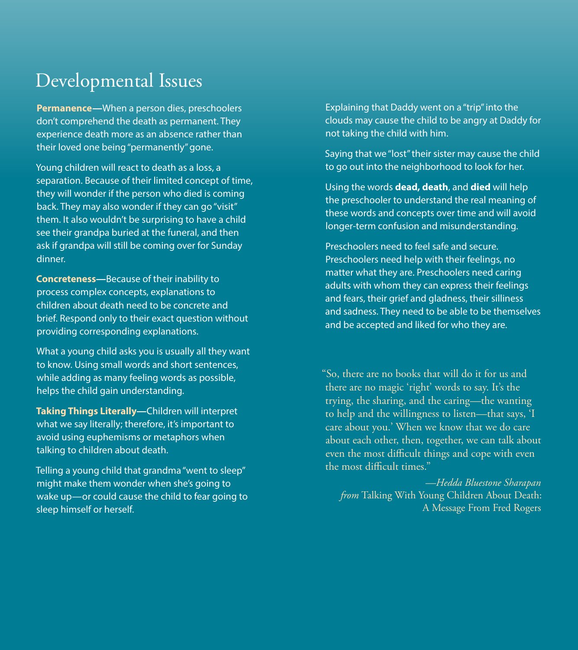## Developmental Issues

**Permanence—**When a person dies, preschoolers don't comprehend the death as permanent. They experience death more as an absence rather than their loved one being "permanently" gone.

Young children will react to death as a loss, a separation. Because of their limited concept of time, they will wonder if the person who died is coming back. They may also wonder if they can go "visit" them. It also wouldn't be surprising to have a child see their grandpa buried at the funeral, and then ask if grandpa will still be coming over for Sunday dinner.

**Concreteness—**Because of their inability to process complex concepts, explanations to children about death need to be concrete and brief. Respond only to their exact question without providing corresponding explanations.

What a young child asks you is usually all they want to know. Using small words and short sentences, while adding as many feeling words as possible, helps the child gain understanding.

**Taking Things Literally—**Children will interpret what we say literally; therefore, it's important to avoid using euphemisms or metaphors when talking to children about death.

Telling a young child that grandma "went to sleep" might make them wonder when she's going to wake up—or could cause the child to fear going to sleep himself or herself.

Explaining that Daddy went on a "trip" into the clouds may cause the child to be angry at Daddy for not taking the child with him.

Saying that we "lost" their sister may cause the child to go out into the neighborhood to look for her.

Using the words **dead, death**, and **died** will help the preschooler to understand the real meaning of these words and concepts over time and will avoid longer-term confusion and misunderstanding.

Preschoolers need to feel safe and secure. Preschoolers need help with their feelings, no matter what they are. Preschoolers need caring adults with whom they can express their feelings and fears, their grief and gladness, their silliness and sadness. They need to be able to be themselves and be accepted and liked for who they are.

"So, there are no books that will do it for us and there are no magic 'right' words to say. It's the trying, the sharing, and the caring—the wanting to help and the willingness to listen—that says, 'I care about you.' When we know that we do care about each other, then, together, we can talk about even the most difficult things and cope with even the most difficult times."

*—Hedda Bluestone Sharapan from* Talking With Young Children About Death: A Message From Fred Rogers